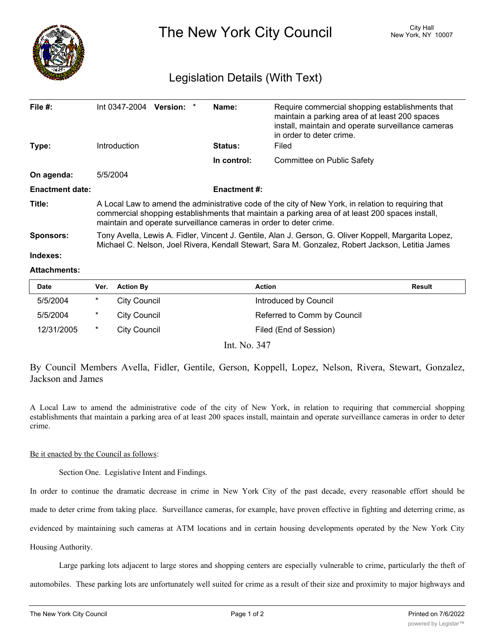

The New York City Council New York, NY 10007

## Legislation Details (With Text)

| File $#$ :             | Int 0347-2004 Version: *                                                                                                                                                                                                                                                     |  |  | Name:       | Require commercial shopping establishments that<br>maintain a parking area of at least 200 spaces<br>install, maintain and operate surveillance cameras<br>in order to deter crime. |  |
|------------------------|------------------------------------------------------------------------------------------------------------------------------------------------------------------------------------------------------------------------------------------------------------------------------|--|--|-------------|-------------------------------------------------------------------------------------------------------------------------------------------------------------------------------------|--|
| Type:                  | Introduction                                                                                                                                                                                                                                                                 |  |  | Status:     | Filed                                                                                                                                                                               |  |
|                        |                                                                                                                                                                                                                                                                              |  |  | In control: | Committee on Public Safety                                                                                                                                                          |  |
| On agenda:             | 5/5/2004                                                                                                                                                                                                                                                                     |  |  |             |                                                                                                                                                                                     |  |
| <b>Enactment date:</b> | <b>Enactment #:</b>                                                                                                                                                                                                                                                          |  |  |             |                                                                                                                                                                                     |  |
| Title:                 | A Local Law to amend the administrative code of the city of New York, in relation to requiring that<br>commercial shopping establishments that maintain a parking area of at least 200 spaces install,<br>maintain and operate surveillance cameras in order to deter crime. |  |  |             |                                                                                                                                                                                     |  |
| <b>Sponsors:</b>       | Tony Avella, Lewis A. Fidler, Vincent J. Gentile, Alan J. Gerson, G. Oliver Koppell, Margarita Lopez,<br>Michael C. Nelson, Joel Rivera, Kendall Stewart, Sara M. Gonzalez, Robert Jackson, Letitia James                                                                    |  |  |             |                                                                                                                                                                                     |  |
| Indexes:               |                                                                                                                                                                                                                                                                              |  |  |             |                                                                                                                                                                                     |  |

## **Attachments:**

| Date       | Ver. | <b>Action By</b> | <b>Action</b>               | Result |
|------------|------|------------------|-----------------------------|--------|
| 5/5/2004   | *    | City Council     | Introduced by Council       |        |
| 5/5/2004   | *    | City Council     | Referred to Comm by Council |        |
| 12/31/2005 | *    | City Council     | Filed (End of Session)      |        |

Int. No. 347

By Council Members Avella, Fidler, Gentile, Gerson, Koppell, Lopez, Nelson, Rivera, Stewart, Gonzalez, Jackson and James

A Local Law to amend the administrative code of the city of New York, in relation to requiring that commercial shopping establishments that maintain a parking area of at least 200 spaces install, maintain and operate surveillance cameras in order to deter crime.

## Be it enacted by the Council as follows:

Section One. Legislative Intent and Findings.

In order to continue the dramatic decrease in crime in New York City of the past decade, every reasonable effort should be made to deter crime from taking place. Surveillance cameras, for example, have proven effective in fighting and deterring crime, as evidenced by maintaining such cameras at ATM locations and in certain housing developments operated by the New York City Housing Authority.

Large parking lots adjacent to large stores and shopping centers are especially vulnerable to crime, particularly the theft of automobiles. These parking lots are unfortunately well suited for crime as a result of their size and proximity to major highways and